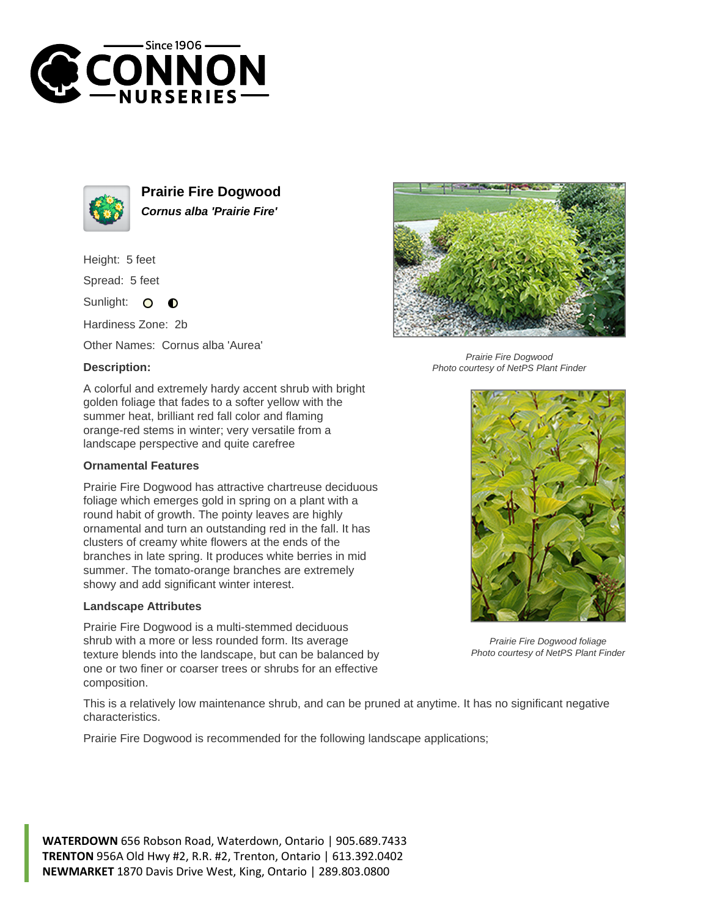



**Prairie Fire Dogwood Cornus alba 'Prairie Fire'**

Height: 5 feet

Spread: 5 feet

Sunlight: O  $\bullet$ 

Hardiness Zone: 2b

Other Names: Cornus alba 'Aurea'

## **Description:**



## **Ornamental Features**

Prairie Fire Dogwood has attractive chartreuse deciduous foliage which emerges gold in spring on a plant with a round habit of growth. The pointy leaves are highly ornamental and turn an outstanding red in the fall. It has clusters of creamy white flowers at the ends of the branches in late spring. It produces white berries in mid summer. The tomato-orange branches are extremely showy and add significant winter interest.

## **Landscape Attributes**

Prairie Fire Dogwood is a multi-stemmed deciduous shrub with a more or less rounded form. Its average texture blends into the landscape, but can be balanced by one or two finer or coarser trees or shrubs for an effective composition.



Prairie Fire Dogwood Photo courtesy of NetPS Plant Finder



Prairie Fire Dogwood foliage Photo courtesy of NetPS Plant Finder

This is a relatively low maintenance shrub, and can be pruned at anytime. It has no significant negative characteristics.

Prairie Fire Dogwood is recommended for the following landscape applications;

**WATERDOWN** 656 Robson Road, Waterdown, Ontario | 905.689.7433 **TRENTON** 956A Old Hwy #2, R.R. #2, Trenton, Ontario | 613.392.0402 **NEWMARKET** 1870 Davis Drive West, King, Ontario | 289.803.0800